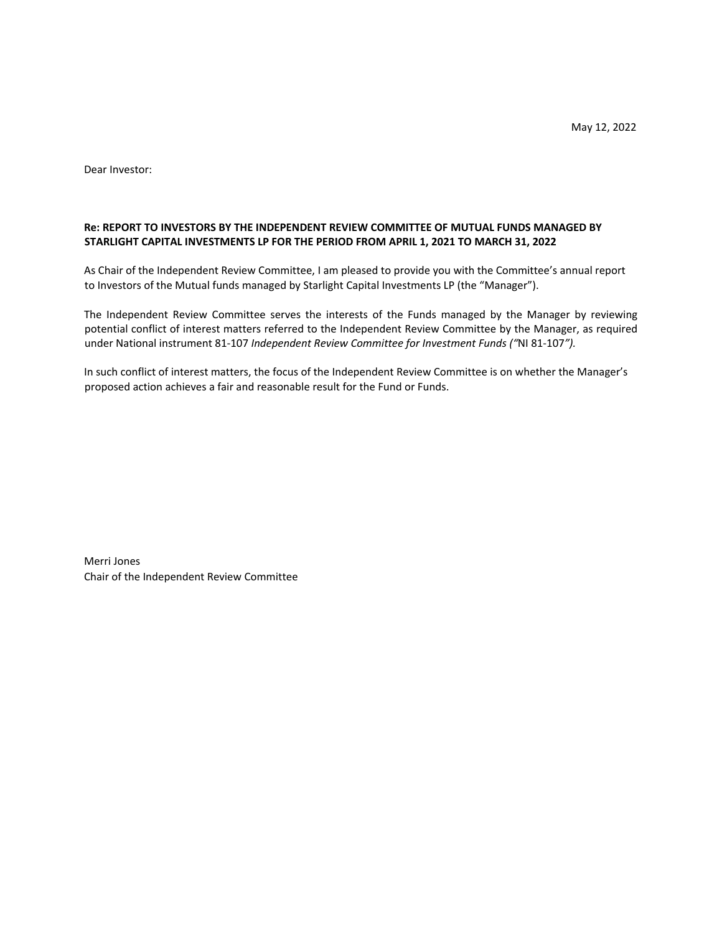May 12, 2022

Dear Investor:

# **Re: REPORT TO INVESTORS BY THE INDEPENDENT REVIEW COMMITTEE OF MUTUAL FUNDS MANAGED BY STARLIGHT CAPITAL INVESTMENTS LP FOR THE PERIOD FROM APRIL 1, 2021 TO MARCH 31, 2022**

As Chair of the Independent Review Committee, I am pleased to provide you with the Committee's annual report to Investors of the Mutual funds managed by Starlight Capital Investments LP (the "Manager").

The Independent Review Committee serves the interests of the Funds managed by the Manager by reviewing potential conflict of interest matters referred to the Independent Review Committee by the Manager, as required under National instrument 81-107 *Independent Review Committee for Investment Funds ("*NI 81-107*").*

In such conflict of interest matters, the focus of the Independent Review Committee is on whether the Manager's proposed action achieves a fair and reasonable result for the Fund or Funds.

Merri Jones Chair of the Independent Review Committee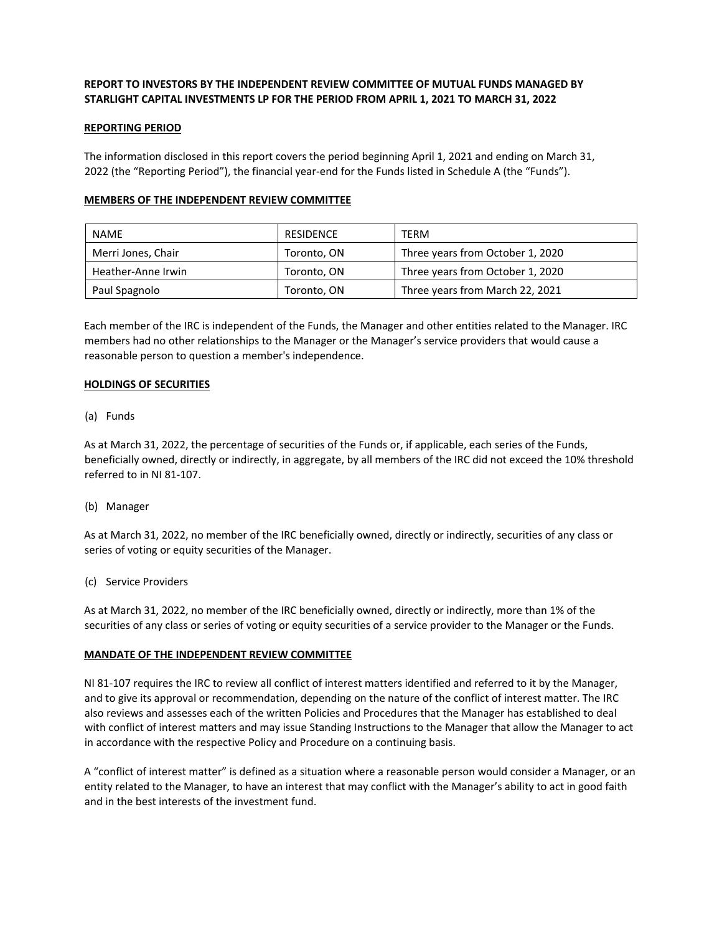# **REPORT TO INVESTORS BY THE INDEPENDENT REVIEW COMMITTEE OF MUTUAL FUNDS MANAGED BY STARLIGHT CAPITAL INVESTMENTS LP FOR THE PERIOD FROM APRIL 1, 2021 TO MARCH 31, 2022**

## **REPORTING PERIOD**

The information disclosed in this report covers the period beginning April 1, 2021 and ending on March 31, 2022 (the "Reporting Period"), the financial year-end for the Funds listed in Schedule A (the "Funds").

## **MEMBERS OF THE INDEPENDENT REVIEW COMMITTEE**

| <b>NAME</b>        | RESIDENCE   | TERM                             |
|--------------------|-------------|----------------------------------|
| Merri Jones, Chair | Toronto, ON | Three years from October 1, 2020 |
| Heather-Anne Irwin | Toronto, ON | Three years from October 1, 2020 |
| Paul Spagnolo      | Toronto, ON | Three years from March 22, 2021  |

Each member of the IRC is independent of the Funds, the Manager and other entities related to the Manager. IRC members had no other relationships to the Manager or the Manager's service providers that would cause a reasonable person to question a member's independence.

### **HOLDINGS OF SECURITIES**

### (a) Funds

As at March 31, 2022, the percentage of securities of the Funds or, if applicable, each series of the Funds, beneficially owned, directly or indirectly, in aggregate, by all members of the IRC did not exceed the 10% threshold referred to in NI 81-107.

## (b) Manager

As at March 31, 2022, no member of the IRC beneficially owned, directly or indirectly, securities of any class or series of voting or equity securities of the Manager.

#### (c) Service Providers

As at March 31, 2022, no member of the IRC beneficially owned, directly or indirectly, more than 1% of the securities of any class or series of voting or equity securities of a service provider to the Manager or the Funds.

#### **MANDATE OF THE INDEPENDENT REVIEW COMMITTEE**

NI 81-107 requires the IRC to review all conflict of interest matters identified and referred to it by the Manager, and to give its approval or recommendation, depending on the nature of the conflict of interest matter. The IRC also reviews and assesses each of the written Policies and Procedures that the Manager has established to deal with conflict of interest matters and may issue Standing Instructions to the Manager that allow the Manager to act in accordance with the respective Policy and Procedure on a continuing basis.

A "conflict of interest matter" is defined as a situation where a reasonable person would consider a Manager, or an entity related to the Manager, to have an interest that may conflict with the Manager's ability to act in good faith and in the best interests of the investment fund.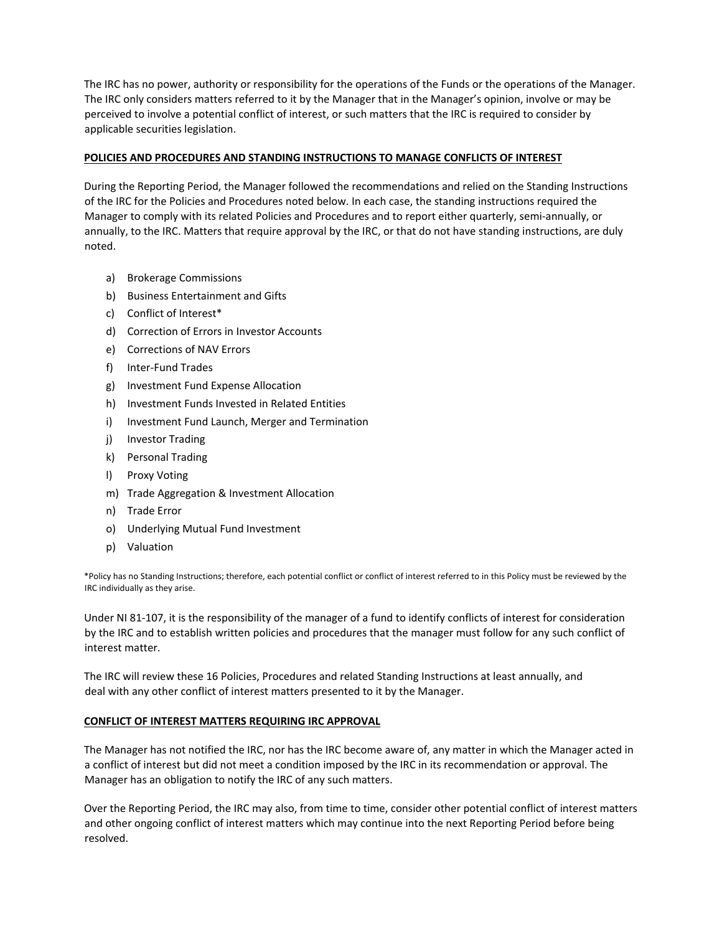The IRC has no power, authority or responsibility for the operations of the Funds or the operations of the Manager. The IRC only considers matters referred to it by the Manager that in the Manager's opinion, involve or may be perceived to involve a potential conflict of interest, or such matters that the IRC is required to consider by applicable securities legislation.

# **POLICIES AND PROCEDURES AND STANDING INSTRUCTIONS TO MANAGE CONFLICTS OF INTEREST**

During the Reporting Period, the Manager followed the recommendations and relied on the Standing Instructions of the IRC for the Policies and Procedures noted below. In each case, the standing instructions required the Manager to comply with its related Policies and Procedures and to report either quarterly, semi-annually, or annually, to the IRC. Matters that require approval by the IRC, or that do not have standing instructions, are duly noted.

- a) Brokerage Commissions
- b) Business Entertainment and Gifts
- c) Conflict of Interest\*
- d) Correction of Errors in Investor Accounts
- e) Corrections of NAV Errors
- f) Inter-Fund Trades
- g) Investment Fund Expense Allocation
- h) Investment Funds Invested in Related Entities
- i) Investment Fund Launch, Merger and Termination
- j) Investor Trading
- k) Personal Trading
- l) Proxy Voting
- m) Trade Aggregation & Investment Allocation
- n) Trade Error
- o) Underlying Mutual Fund Investment
- p) Valuation

\*Policy has no Standing Instructions; therefore, each potential conflict or conflict of interest referred to in this Policy must be reviewed by the IRC individually as they arise.

Under NI 81-107, it is the responsibility of the manager of a fund to identify conflicts of interest for consideration by the IRC and to establish written policies and procedures that the manager must follow for any such conflict of interest matter.

The IRC will review these 16 Policies, Procedures and related Standing Instructions at least annually, and deal with any other conflict of interest matters presented to it by the Manager.

## **CONFLICT OF INTEREST MATTERS REQUIRING IRC APPROVAL**

The Manager has not notified the IRC, nor has the IRC become aware of, any matter in which the Manager acted in a conflict of interest but did not meet a condition imposed by the IRC in its recommendation or approval. The Manager has an obligation to notify the IRC of any such matters.

Over the Reporting Period, the IRC may also, from time to time, consider other potential conflict of interest matters and other ongoing conflict of interest matters which may continue into the next Reporting Period before being resolved.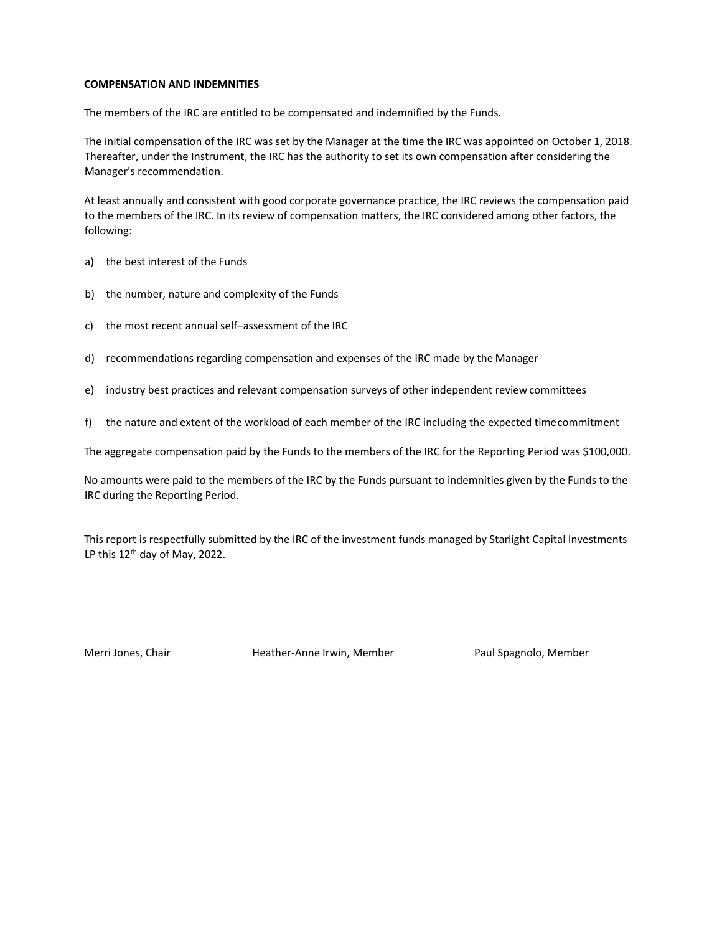## **COMPENSATION AND INDEMNITIES**

The members of the IRC are entitled to be compensated and indemnified by the Funds.

The initial compensation of the IRC was set by the Manager at the time the IRC was appointed on October 1, 2018. Thereafter, under the Instrument, the IRC has the authority to set its own compensation after considering the Manager's recommendation.

At least annually and consistent with good corporate governance practice, the IRC reviews the compensation paid to the members of the IRC. In its review of compensation matters, the IRC considered among other factors, the following:

- a) the best interest of the Funds
- b) the number, nature and complexity of the Funds
- c) the most recent annual self–assessment of the IRC
- d) recommendations regarding compensation and expenses of the IRC made by the Manager
- e) industry best practices and relevant compensation surveys of other independent review committees
- f) the nature and extent of the workload of each member of the IRC including the expected timecommitment

The aggregate compensation paid by the Funds to the members of the IRC for the Reporting Period was \$100,000.

No amounts were paid to the members of the IRC by the Funds pursuant to indemnities given by the Funds to the IRC during the Reporting Period.

This report is respectfully submitted by the IRC of the investment funds managed by Starlight Capital Investments LP this  $12^{th}$  day of May, 2022.

Merri Jones, Chair **Heather-Anne Irwin, Member** Paul Spagnolo, Member